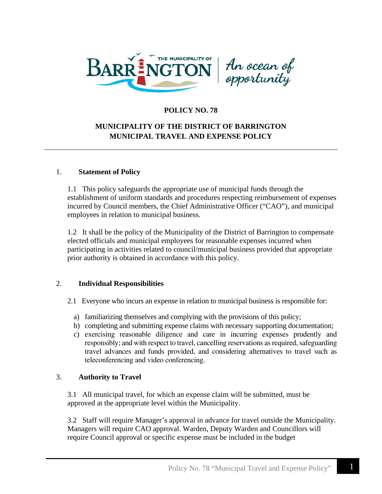



# **POLICY NO. 78**

# **MUNICIPALITY OF THE DISTRICT OF BARRINGTON MUNICIPAL TRAVEL AND EXPENSE POLICY**

#### 1. **Statement of Policy**

1.1 This policy safeguards the appropriate use of municipal funds through the establishment of uniform standards and procedures respecting reimbursement of expenses incurred by Council members, the Chief Administrative Officer ("CAO"), and municipal employees in relation to municipal business.

1.2 It shall be the policy of the Municipality of the District of Barrington to compensate elected officials and municipal employees for reasonable expenses incurred when participating in activities related to council/municipal business provided that appropriate prior authority is obtained in accordance with this policy.

### 2. **Individual Responsibilities**

- 2.1Everyone who incurs an expense in relation to municipal business is responsible for:
	- a) familiarizing themselves and complying with the provisions of this policy;
	- b) completing and submitting expense claims with necessary supporting documentation;
	- c) exercising reasonable diligence and care in incurring expenses prudently and responsibly; and with respect to travel, cancelling reservations as required, safeguarding travel advances and funds provided, and considering alternatives to travel such as teleconferencing and video conferencing.

### 3. **Authority to Travel**

3.1 All municipal travel, for which an expense claim will be submitted, must be approved at the appropriate level within the Municipality.

3.2 Staff will require Manager's approval in advance for travel outside the Municipality. Managers will require CAO approval. Warden, Deputy Warden and Councillors will require Council approval or specific expense must be included in the budget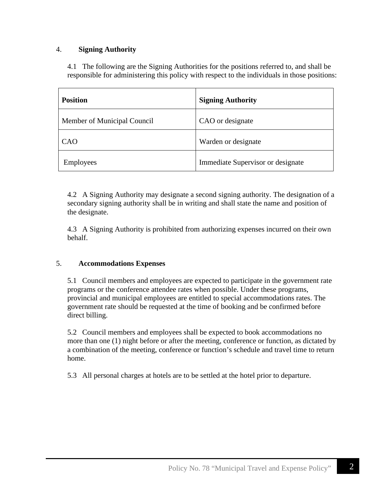# 4. **Signing Authority**

4.1 The following are the Signing Authorities for the positions referred to, and shall be responsible for administering this policy with respect to the individuals in those positions:

| <b>Position</b>             | <b>Signing Authority</b>          |
|-----------------------------|-----------------------------------|
| Member of Municipal Council | CAO or designate                  |
| CAO                         | Warden or designate               |
| <b>Employees</b>            | Immediate Supervisor or designate |

4.2 A Signing Authority may designate a second signing authority. The designation of a secondary signing authority shall be in writing and shall state the name and position of the designate.

4.3 A Signing Authority is prohibited from authorizing expenses incurred on their own behalf.

### 5. **Accommodations Expenses**

5.1 Council members and employees are expected to participate in the government rate programs or the conference attendee rates when possible. Under these programs, provincial and municipal employees are entitled to special accommodations rates. The government rate should be requested at the time of booking and be confirmed before direct billing.

5.2 Council members and employees shall be expected to book accommodations no more than one (1) night before or after the meeting, conference or function, as dictated by a combination of the meeting, conference or function's schedule and travel time to return home.

5.3 All personal charges at hotels are to be settled at the hotel prior to departure.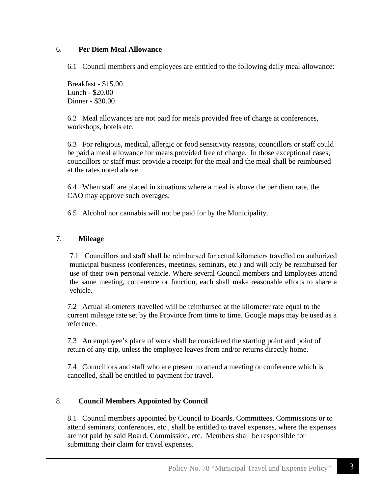# 6. **Per Diem Meal Allowance**

6.1 Council members and employees are entitled to the following daily meal allowance:

Breakfast - \$15.00 Lunch - \$20.00 Dinner - \$30.00

6.2 Meal allowances are not paid for meals provided free of charge at conferences, workshops, hotels etc.

6.3 For religious, medical, allergic or food sensitivity reasons, councillors or staff could be paid a meal allowance for meals provided free of charge. In those exceptional cases, councillors or staff must provide a receipt for the meal and the meal shall be reimbursed at the rates noted above.

6.4 When staff are placed in situations where a meal is above the per diem rate, the CAO may approve such overages.

6.5 Alcohol nor cannabis will not be paid for by the Municipality.

# 7. **Mileage**

7.1 Councillors and staff shall be reimbursed for actual kilometers travelled on authorized municipal business (conferences, meetings, seminars, etc.) and will only be reimbursed for use of their own personal vehicle. Where several Council members and Employees attend the same meeting, conference or function, each shall make reasonable efforts to share a vehicle.

7.2 Actual kilometers travelled will be reimbursed at the kilometer rate equal to the current mileage rate set by the Province from time to time. Google maps may be used as a reference.

7.3 An employee's place of work shall be considered the starting point and point of return of any trip, unless the employee leaves from and/or returns directly home.

7.4 Councillors and staff who are present to attend a meeting or conference which is cancelled, shall be entitled to payment for travel.

# 8. **Council Members Appointed by Council**

8.1 Council members appointed by Council to Boards, Committees, Commissions or to attend seminars, conferences, etc., shall be entitled to travel expenses, where the expenses are not paid by said Board, Commission, etc. Members shall be responsible for submitting their claim for travel expenses.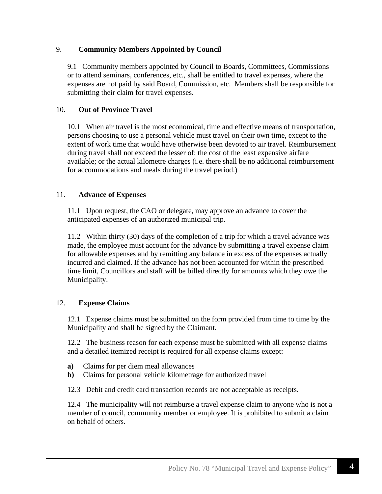### 9. **Community Members Appointed by Council**

9.1 Community members appointed by Council to Boards, Committees, Commissions or to attend seminars, conferences, etc., shall be entitled to travel expenses, where the expenses are not paid by said Board, Commission, etc. Members shall be responsible for submitting their claim for travel expenses.

### 10. **Out of Province Travel**

10.1 When air travel is the most economical, time and effective means of transportation, persons choosing to use a personal vehicle must travel on their own time, except to the extent of work time that would have otherwise been devoted to air travel. Reimbursement during travel shall not exceed the lesser of: the cost of the least expensive airfare available; or the actual kilometre charges (i.e. there shall be no additional reimbursement for accommodations and meals during the travel period.)

### 11. **Advance of Expenses**

11.1 Upon request, the CAO or delegate, may approve an advance to cover the anticipated expenses of an authorized municipal trip.

11.2 Within thirty (30) days of the completion of a trip for which a travel advance was made, the employee must account for the advance by submitting a travel expense claim for allowable expenses and by remitting any balance in excess of the expenses actually incurred and claimed. If the advance has not been accounted for within the prescribed time limit, Councillors and staff will be billed directly for amounts which they owe the Municipality.

### 12. **Expense Claims**

12.1 Expense claims must be submitted on the form provided from time to time by the Municipality and shall be signed by the Claimant.

12.2 The business reason for each expense must be submitted with all expense claims and a detailed itemized receipt is required for all expense claims except:

- **a)** Claims for per diem meal allowances
- **b)** Claims for personal vehicle kilometrage for authorized travel
- 12.3 Debit and credit card transaction records are not acceptable as receipts.

12.4 The municipality will not reimburse a travel expense claim to anyone who is not a member of council, community member or employee. It is prohibited to submit a claim on behalf of others.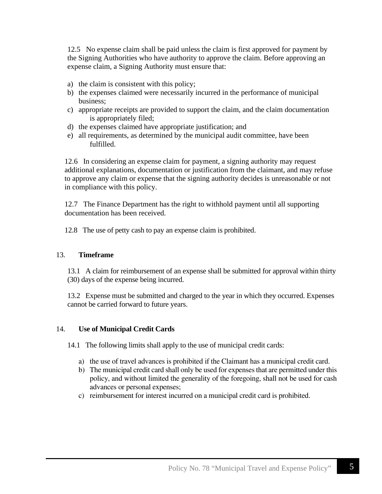12.5 No expense claim shall be paid unless the claim is first approved for payment by the Signing Authorities who have authority to approve the claim. Before approving an expense claim, a Signing Authority must ensure that:

- a) the claim is consistent with this policy;
- b) the expenses claimed were necessarily incurred in the performance of municipal business;
- c) appropriate receipts are provided to support the claim, and the claim documentation is appropriately filed;
- d) the expenses claimed have appropriate justification; and
- e) all requirements, as determined by the municipal audit committee, have been fulfilled.

12.6 In considering an expense claim for payment, a signing authority may request additional explanations, documentation or justification from the claimant, and may refuse to approve any claim or expense that the signing authority decides is unreasonable or not in compliance with this policy.

12.7 The Finance Department has the right to withhold payment until all supporting documentation has been received.

12.8 The use of petty cash to pay an expense claim is prohibited.

### 13. **Timeframe**

13.1 A claim for reimbursement of an expense shall be submitted for approval within thirty (30) days of the expense being incurred.

13.2 Expense must be submitted and charged to the year in which they occurred. Expenses cannot be carried forward to future years.

# 14. **Use of Municipal Credit Cards**

14.1The following limits shall apply to the use of municipal credit cards:

- a) the use of travel advances is prohibited if the Claimant has a municipal credit card.
- b) The municipal credit card shall only be used for expenses that are permitted under this policy, and without limited the generality of the foregoing, shall not be used for cash advances or personal expenses;
- c) reimbursement for interest incurred on a municipal credit card is prohibited.